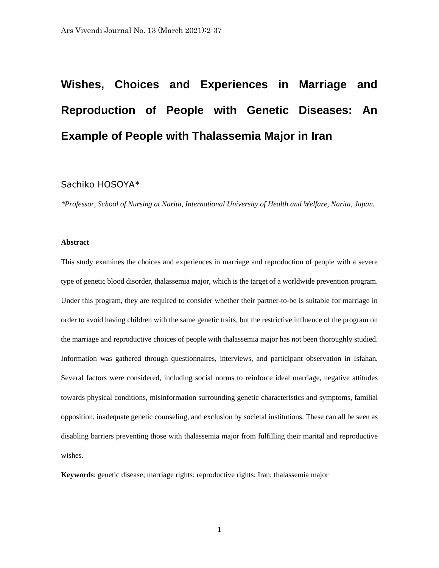# **Wishes, Choices and Experiences in Marriage and Reproduction of People with Genetic Diseases: An Example of People with Thalassemia Major in Iran**

# Sachiko HOSOYA\*

*\*Professor, School of Nursing at Narita, International University of Health and Welfare, Narita, Japan.*

# **Abstract**

This study examines the choices and experiences in marriage and reproduction of people with a severe type of genetic blood disorder, thalassemia major, which is the target of a worldwide prevention program. Under this program, they are required to consider whether their partner-to-be is suitable for marriage in order to avoid having children with the same genetic traits, but the restrictive influence of the program on the marriage and reproductive choices of people with thalassemia major has not been thoroughly studied. Information was gathered through questionnaires, interviews, and participant observation in Isfahan. Several factors were considered, including social norms to reinforce ideal marriage, negative attitudes towards physical conditions, misinformation surrounding genetic characteristics and symptoms, familial opposition, inadequate genetic counseling, and exclusion by societal institutions. These can all be seen as disabling barriers preventing those with thalassemia major from fulfilling their marital and reproductive wishes.

**Keywords**: genetic disease; marriage rights; reproductive rights; Iran; thalassemia major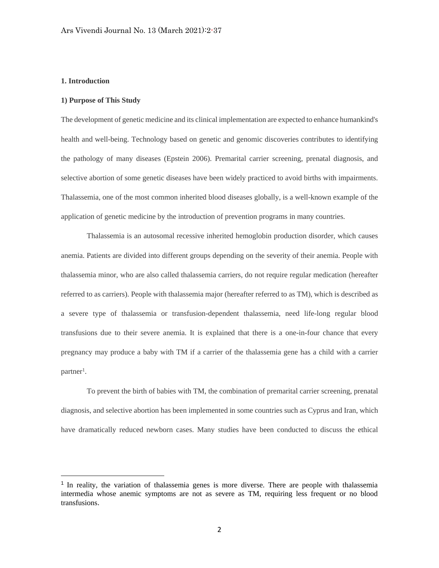# **1. Introduction**

#### **1) Purpose of This Study**

The development of genetic medicine and its clinical implementation are expected to enhance humankind's health and well-being. Technology based on genetic and genomic discoveries contributes to identifying the pathology of many diseases (Epstein 2006). Premarital carrier screening, prenatal diagnosis, and selective abortion of some genetic diseases have been widely practiced to avoid births with impairments. Thalassemia, one of the most common inherited blood diseases globally, is a well-known example of the application of genetic medicine by the introduction of prevention programs in many countries.

Thalassemia is an autosomal recessive inherited hemoglobin production disorder, which causes anemia. Patients are divided into different groups depending on the severity of their anemia. People with thalassemia minor, who are also called thalassemia carriers, do not require regular medication (hereafter referred to as carriers). People with thalassemia major (hereafter referred to as TM), which is described as a severe type of thalassemia or transfusion-dependent thalassemia, need life-long regular blood transfusions due to their severe anemia. It is explained that there is a one-in-four chance that every pregnancy may produce a baby with TM if a carrier of the thalassemia gene has a child with a carrier partner<sup>1</sup>.

To prevent the birth of babies with TM, the combination of premarital carrier screening, prenatal diagnosis, and selective abortion has been implemented in some countries such as Cyprus and Iran, which have dramatically reduced newborn cases. Many studies have been conducted to discuss the ethical

<sup>&</sup>lt;sup>1</sup> In reality, the variation of thalassemia genes is more diverse. There are people with thalassemia intermedia whose anemic symptoms are not as severe as TM, requiring less frequent or no blood transfusions.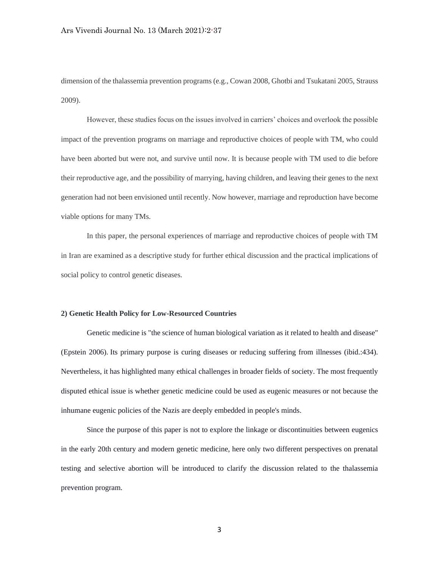dimension of the thalassemia prevention programs (e.g., Cowan 2008, Ghotbi and Tsukatani 2005, Strauss 2009).

However, these studies focus on the issues involved in carriers' choices and overlook the possible impact of the prevention programs on marriage and reproductive choices of people with TM, who could have been aborted but were not, and survive until now. It is because people with TM used to die before their reproductive age, and the possibility of marrying, having children, and leaving their genes to the next generation had not been envisioned until recently. Now however, marriage and reproduction have become viable options for many TMs.

In this paper, the personal experiences of marriage and reproductive choices of people with TM in Iran are examined as a descriptive study for further ethical discussion and the practical implications of social policy to control genetic diseases.

### **2) Genetic Health Policy for Low-Resourced Countries**

Genetic medicine is "the science of human biological variation as it related to health and disease" (Epstein 2006). Its primary purpose is curing diseases or reducing suffering from illnesses (ibid.:434). Nevertheless, it has highlighted many ethical challenges in broader fields of society. The most frequently disputed ethical issue is whether genetic medicine could be used as eugenic measures or not because the inhumane eugenic policies of the Nazis are deeply embedded in people's minds.

Since the purpose of this paper is not to explore the linkage or discontinuities between eugenics in the early 20th century and modern genetic medicine, here only two different perspectives on prenatal testing and selective abortion will be introduced to clarify the discussion related to the thalassemia prevention program.

3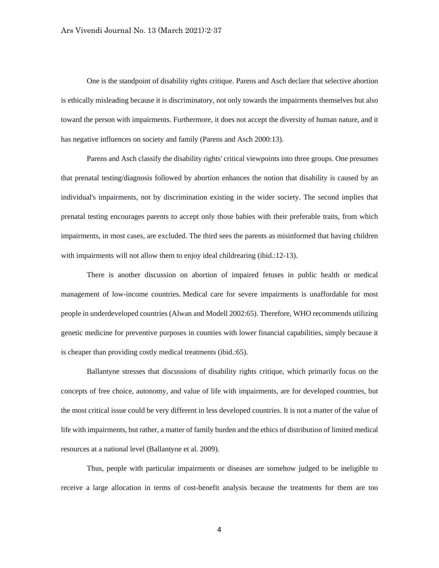One is the standpoint of disability rights critique. Parens and Asch declare that selective abortion is ethically misleading because it is discriminatory, not only towards the impairments themselves but also toward the person with impairments. Furthermore, it does not accept the diversity of human nature, and it has negative influences on society and family (Parens and Asch 2000:13).

Parens and Asch classify the disability rights' critical viewpoints into three groups. One presumes that prenatal testing/diagnosis followed by abortion enhances the notion that disability is caused by an individual's impairments, not by discrimination existing in the wider society. The second implies that prenatal testing encourages parents to accept only those babies with their preferable traits, from which impairments, in most cases, are excluded. The third sees the parents as misinformed that having children with impairments will not allow them to enjoy ideal childrearing (ibid.:12-13).

There is another discussion on abortion of impaired fetuses in public health or medical management of low-income countries. Medical care for severe impairments is unaffordable for most people in underdeveloped countries (Alwan and Modell 2002:65). Therefore, WHO recommends utilizing genetic medicine for preventive purposes in counties with lower financial capabilities, simply because it is cheaper than providing costly medical treatments (ibid.:65).

Ballantyne stresses that discussions of disability rights critique, which primarily focus on the concepts of free choice, autonomy, and value of life with impairments, are for developed countries, but the most critical issue could be very different in less developed countries. It is not a matter of the value of life with impairments, but rather, a matter of family burden and the ethics of distribution of limited medical resources at a national level (Ballantyne et al. 2009).

Thus, people with particular impairments or diseases are somehow judged to be ineligible to receive a large allocation in terms of cost-benefit analysis because the treatments for them are too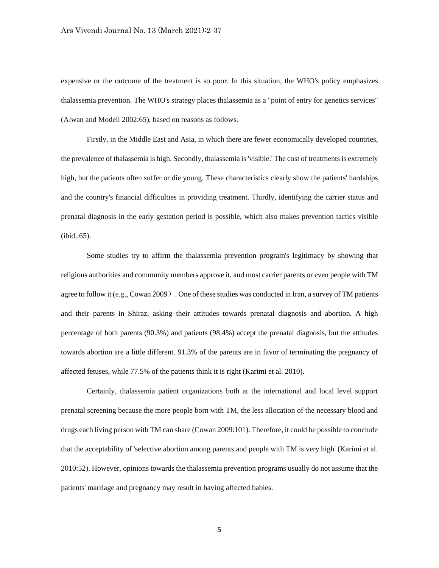expensive or the outcome of the treatment is so poor. In this situation, the WHO's policy emphasizes thalassemia prevention. The WHO's strategy places thalassemia as a "point of entry for genetics services" (Alwan and Modell 2002:65), based on reasons as follows.

Firstly, in the Middle East and Asia, in which there are fewer economically developed countries, the prevalence of thalassemia is high. Secondly, thalassemia is 'visible.' The cost of treatments is extremely high, but the patients often suffer or die young. These characteristics clearly show the patients' hardships and the country's financial difficulties in providing treatment. Thirdly, identifying the carrier status and prenatal diagnosis in the early gestation period is possible, which also makes prevention tactics visible (ibid.:65).

Some studies try to affirm the thalassemia prevention program's legitimacy by showing that religious authorities and community members approve it, and most carrier parents or even people with TM agree to follow it (e.g., Cowan 2009). One of these studies was conducted in Iran, a survey of TM patients and their parents in Shiraz, asking their attitudes towards prenatal diagnosis and abortion. A high percentage of both parents (90.3%) and patients (98.4%) accept the prenatal diagnosis, but the attitudes towards abortion are a little different. 91.3% of the parents are in favor of terminating the pregnancy of affected fetuses, while 77.5% of the patients think it is right (Karimi et al. 2010).

Certainly, thalassemia patient organizations both at the international and local level support prenatal screening because the more people born with TM, the less allocation of the necessary blood and drugs each living person with TM can share (Cowan 2009:101). Therefore, it could be possible to conclude that the acceptability of 'selective abortion among parents and people with TM is very high' (Karimi et al. 2010:52). However, opinions towards the thalassemia prevention programs usually do not assume that the patients' marriage and pregnancy may result in having affected babies.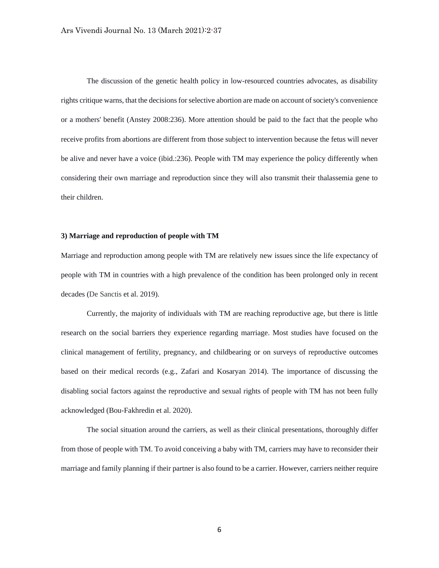The discussion of the genetic health policy in low-resourced countries advocates, as disability rights critique warns, that the decisions for selective abortion are made on account of society's convenience or a mothers' benefit (Anstey 2008:236). More attention should be paid to the fact that the people who receive profits from abortions are different from those subject to intervention because the fetus will never be alive and never have a voice (ibid.:236). People with TM may experience the policy differently when considering their own marriage and reproduction since they will also transmit their thalassemia gene to their children.

# **3) Marriage and reproduction of people with TM**

Marriage and reproduction among people with TM are relatively new issues since the life expectancy of people with TM in countries with a high prevalence of the condition has been prolonged only in recent decades (De Sanctis et al. 2019).

Currently, the majority of individuals with TM are reaching reproductive age, but there is little research on the social barriers they experience regarding marriage. Most studies have focused on the clinical management of fertility, pregnancy, and childbearing or on surveys of reproductive outcomes based on their medical records (e.g., Zafari and Kosaryan 2014). The importance of discussing the disabling social factors against the reproductive and sexual rights of people with TM has not been fully acknowledged (Bou-Fakhredin et al. 2020).

The social situation around the carriers, as well as their clinical presentations, thoroughly differ from those of people with TM. To avoid conceiving a baby with TM, carriers may have to reconsider their marriage and family planning if their partner is also found to be a carrier. However, carriers neither require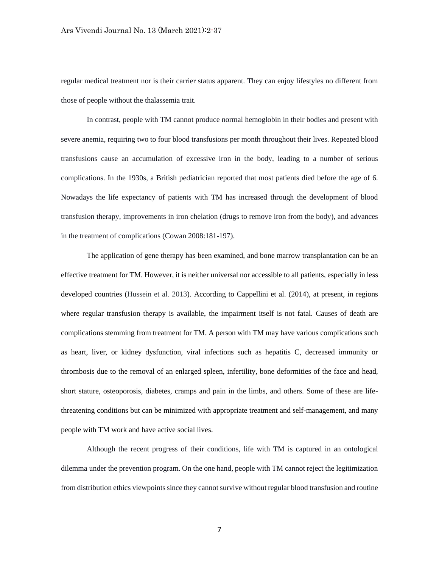regular medical treatment nor is their carrier status apparent. They can enjoy lifestyles no different from those of people without the thalassemia trait.

In contrast, people with TM cannot produce normal hemoglobin in their bodies and present with severe anemia, requiring two to four blood transfusions per month throughout their lives. Repeated blood transfusions cause an accumulation of excessive iron in the body, leading to a number of serious complications. In the 1930s, a British pediatrician reported that most patients died before the age of 6. Nowadays the life expectancy of patients with TM has increased through the development of blood transfusion therapy, improvements in iron chelation (drugs to remove iron from the body), and advances in the treatment of complications (Cowan 2008:181-197).

The application of gene therapy has been examined, and bone marrow transplantation can be an effective treatment for TM. However, it is neither universal nor accessible to all patients, especially in less developed countries (Hussein et al. 2013). According to Cappellini et al. (2014), at present, in regions where regular transfusion therapy is available, the impairment itself is not fatal. Causes of death are complications stemming from treatment for TM. A person with TM may have various complications such as heart, liver, or kidney dysfunction, viral infections such as hepatitis C, decreased immunity or thrombosis due to the removal of an enlarged spleen, infertility, bone deformities of the face and head, short stature, osteoporosis, diabetes, cramps and pain in the limbs, and others. Some of these are lifethreatening conditions but can be minimized with appropriate treatment and self-management, and many people with TM work and have active social lives.

Although the recent progress of their conditions, life with TM is captured in an ontological dilemma under the prevention program. On the one hand, people with TM cannot reject the legitimization from distribution ethics viewpoints since they cannot survive without regular blood transfusion and routine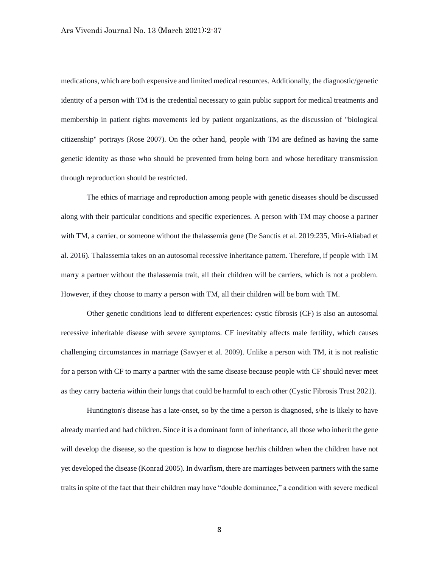medications, which are both expensive and limited medical resources. Additionally, the diagnostic/genetic identity of a person with TM is the credential necessary to gain public support for medical treatments and membership in patient rights movements led by patient organizations, as the discussion of "biological citizenship" portrays (Rose 2007). On the other hand, people with TM are defined as having the same genetic identity as those who should be prevented from being born and whose hereditary transmission through reproduction should be restricted.

The ethics of marriage and reproduction among people with genetic diseases should be discussed along with their particular conditions and specific experiences. A person with TM may choose a partner with TM, a carrier, or someone without the thalassemia gene (De Sanctis et al. 2019:235, Miri-Aliabad et al. 2016). Thalassemia takes on an autosomal recessive inheritance pattern. Therefore, if people with TM marry a partner without the thalassemia trait, all their children will be carriers, which is not a problem. However, if they choose to marry a person with TM, all their children will be born with TM.

Other genetic conditions lead to different experiences: cystic fibrosis (CF) is also an autosomal recessive inheritable disease with severe symptoms. CF inevitably affects male fertility, which causes challenging circumstances in marriage (Sawyer et al. 2009). Unlike a person with TM, it is not realistic for a person with CF to marry a partner with the same disease because people with CF should never meet as they carry bacteria within their lungs that could be harmful to each other (Cystic Fibrosis Trust 2021).

Huntington's disease has a late-onset, so by the time a person is diagnosed, s/he is likely to have already married and had children. Since it is a dominant form of inheritance, all those who inherit the gene will develop the disease, so the question is how to diagnose her/his children when the children have not yet developed the disease (Konrad 2005). In dwarfism, there are marriages between partners with the same traits in spite of the fact that their children may have "double dominance," a condition with severe medical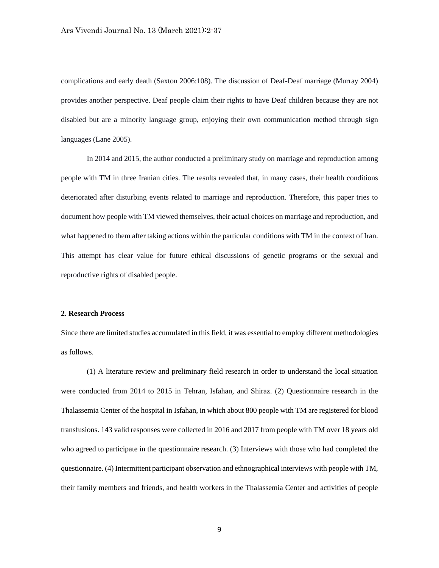complications and early death (Saxton 2006:108). The discussion of Deaf-Deaf marriage (Murray 2004) provides another perspective. Deaf people claim their rights to have Deaf children because they are not disabled but are a minority language group, enjoying their own communication method through sign languages (Lane 2005).

In 2014 and 2015, the author conducted a preliminary study on marriage and reproduction among people with TM in three Iranian cities. The results revealed that, in many cases, their health conditions deteriorated after disturbing events related to marriage and reproduction. Therefore, this paper tries to document how people with TM viewed themselves, their actual choices on marriage and reproduction, and what happened to them after taking actions within the particular conditions with TM in the context of Iran. This attempt has clear value for future ethical discussions of genetic programs or the sexual and reproductive rights of disabled people.

#### **2. Research Process**

Since there are limited studies accumulated in this field, it was essential to employ different methodologies as follows.

(1) A literature review and preliminary field research in order to understand the local situation were conducted from 2014 to 2015 in Tehran, Isfahan, and Shiraz. (2) Questionnaire research in the Thalassemia Center of the hospital in Isfahan, in which about 800 people with TM are registered for blood transfusions. 143 valid responses were collected in 2016 and 2017 from people with TM over 18 years old who agreed to participate in the questionnaire research. (3) Interviews with those who had completed the questionnaire. (4) Intermittent participant observation and ethnographical interviews with people with TM, their family members and friends, and health workers in the Thalassemia Center and activities of people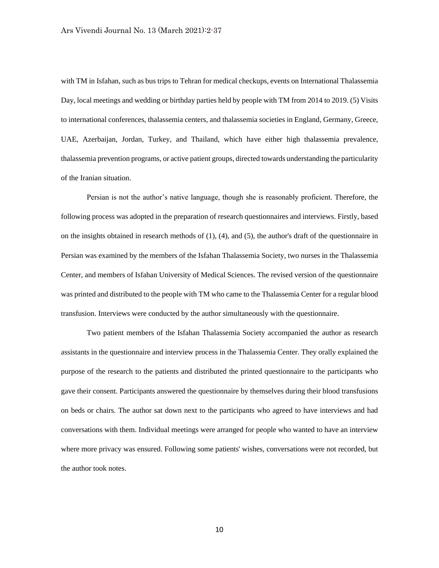with TM in Isfahan, such as bus trips to Tehran for medical checkups, events on International Thalassemia Day, local meetings and wedding or birthday parties held by people with TM from 2014 to 2019. (5) Visits to international conferences, thalassemia centers, and thalassemia societies in England, Germany, Greece, UAE, Azerbaijan, Jordan, Turkey, and Thailand, which have either high thalassemia prevalence, thalassemia prevention programs, or active patient groups, directed towards understanding the particularity of the Iranian situation.

Persian is not the author's native language, though she is reasonably proficient. Therefore, the following process was adopted in the preparation of research questionnaires and interviews. Firstly, based on the insights obtained in research methods of (1), (4), and (5), the author's draft of the questionnaire in Persian was examined by the members of the Isfahan Thalassemia Society, two nurses in the Thalassemia Center, and members of Isfahan University of Medical Sciences. The revised version of the questionnaire was printed and distributed to the people with TM who came to the Thalassemia Center for a regular blood transfusion. Interviews were conducted by the author simultaneously with the questionnaire.

Two patient members of the Isfahan Thalassemia Society accompanied the author as research assistants in the questionnaire and interview process in the Thalassemia Center. They orally explained the purpose of the research to the patients and distributed the printed questionnaire to the participants who gave their consent. Participants answered the questionnaire by themselves during their blood transfusions on beds or chairs. The author sat down next to the participants who agreed to have interviews and had conversations with them. Individual meetings were arranged for people who wanted to have an interview where more privacy was ensured. Following some patients' wishes, conversations were not recorded, but the author took notes.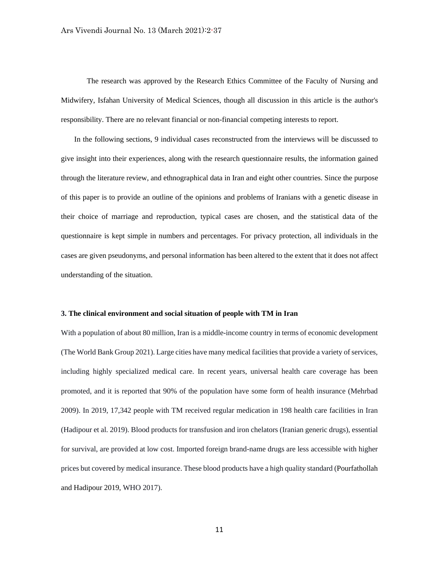The research was approved by the Research Ethics Committee of the Faculty of Nursing and Midwifery, Isfahan University of Medical Sciences, though all discussion in this article is the author's responsibility. There are no relevant financial or non-financial competing interests to report.

 In the following sections, 9 individual cases reconstructed from the interviews will be discussed to give insight into their experiences, along with the research questionnaire results, the information gained through the literature review, and ethnographical data in Iran and eight other countries. Since the purpose of this paper is to provide an outline of the opinions and problems of Iranians with a genetic disease in their choice of marriage and reproduction, typical cases are chosen, and the statistical data of the questionnaire is kept simple in numbers and percentages. For privacy protection, all individuals in the cases are given pseudonyms, and personal information has been altered to the extent that it does not affect understanding of the situation.

### **3. The clinical environment and social situation of people with TM in Iran**

With a population of about 80 million, Iran is a middle-income country in terms of economic development (The World Bank Group 2021). Large cities have many medical facilities that provide a variety of services, including highly specialized medical care. In recent years, universal health care coverage has been promoted, and it is reported that 90% of the population have some form of health insurance (Mehrbad 2009). In 2019, 17,342 people with TM received regular medication in 198 health care facilities in Iran (Hadipour et al. 2019). Blood products for transfusion and iron chelators (Iranian generic drugs), essential for survival, are provided at low cost. Imported foreign brand-name drugs are less accessible with higher prices but covered by medical insurance. These blood products have a high quality standard (Pourfathollah and Hadipour 2019, WHO 2017).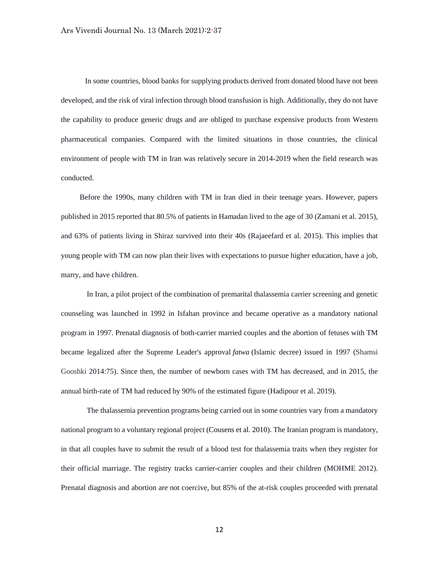In some countries, blood banks for supplying products derived from donated blood have not been developed, and the risk of viral infection through blood transfusion is high. Additionally, they do not have the capability to produce generic drugs and are obliged to purchase expensive products from Western pharmaceutical companies. Compared with the limited situations in those countries, the clinical environment of people with TM in Iran was relatively secure in 2014-2019 when the field research was conducted.

Before the 1990s, many children with TM in Iran died in their teenage years. However, papers published in 2015 reported that 80.5% of patients in Hamadan lived to the age of 30 (Zamani et al. 2015), and 63% of patients living in Shiraz survived into their 40s (Rajaeefard et al. 2015). This implies that young people with TM can now plan their lives with expectations to pursue higher education, have a job, marry, and have children.

In Iran, a pilot project of the combination of premarital thalassemia carrier screening and genetic counseling was launched in 1992 in Isfahan province and became operative as a mandatory national program in 1997. Prenatal diagnosis of both-carrier married couples and the abortion of fetuses with TM became legalized after the Supreme Leader's approval *fatwa* (Islamic decree) issued in 1997 (Shamsi Gooshki 2014:75). Since then, the number of newborn cases with TM has decreased, and in 2015, the annual birth-rate of TM had reduced by 90% of the estimated figure (Hadipour et al. 2019).

The thalassemia prevention programs being carried out in some countries vary from a mandatory national program to a voluntary regional project (Cousens et al. 2010). The Iranian program is mandatory, in that all couples have to submit the result of a blood test for thalassemia traits when they register for their official marriage. The registry tracks carrier-carrier couples and their children (MOHME 2012). Prenatal diagnosis and abortion are not coercive, but 85% of the at-risk couples proceeded with prenatal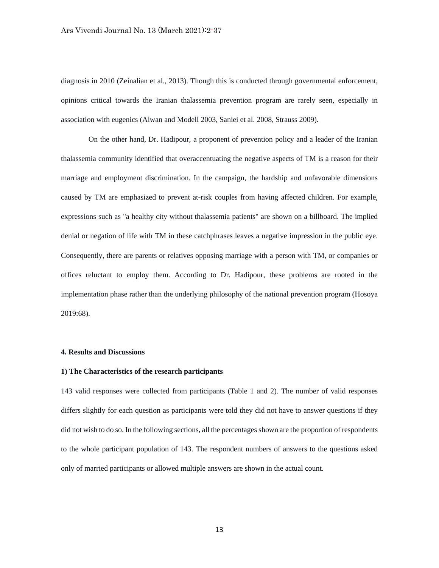diagnosis in 2010 (Zeinalian et al., 2013). Though this is conducted through governmental enforcement, opinions critical towards the Iranian thalassemia prevention program are rarely seen, especially in association with eugenics (Alwan and Modell 2003, Saniei et al. 2008, Strauss 2009).

On the other hand, Dr. Hadipour, a proponent of prevention policy and a leader of the Iranian thalassemia community identified that overaccentuating the negative aspects of TM is a reason for their marriage and employment discrimination. In the campaign, the hardship and unfavorable dimensions caused by TM are emphasized to prevent at-risk couples from having affected children. For example, expressions such as "a healthy city without thalassemia patients" are shown on a billboard. The implied denial or negation of life with TM in these catchphrases leaves a negative impression in the public eye. Consequently, there are parents or relatives opposing marriage with a person with TM, or companies or offices reluctant to employ them. According to Dr. Hadipour, these problems are rooted in the implementation phase rather than the underlying philosophy of the national prevention program (Hosoya 2019:68).

#### **4. Results and Discussions**

# **1) The Characteristics of the research participants**

143 valid responses were collected from participants (Table 1 and 2). The number of valid responses differs slightly for each question as participants were told they did not have to answer questions if they did not wish to do so. In the following sections, all the percentages shown are the proportion of respondents to the whole participant population of 143. The respondent numbers of answers to the questions asked only of married participants or allowed multiple answers are shown in the actual count.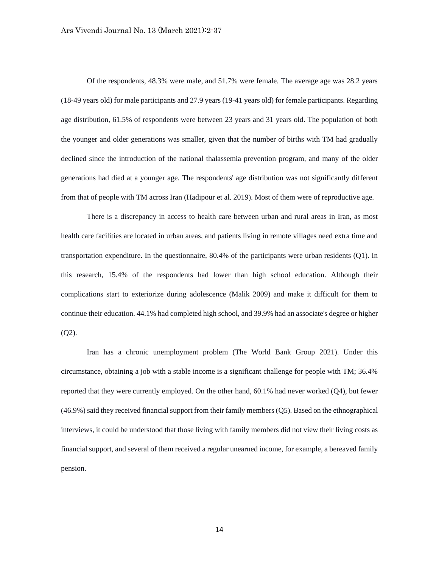Of the respondents, 48.3% were male, and 51.7% were female. The average age was 28.2 years (18-49 years old) for male participants and 27.9 years (19-41 years old) for female participants. Regarding age distribution, 61.5% of respondents were between 23 years and 31 years old. The population of both the younger and older generations was smaller, given that the number of births with TM had gradually declined since the introduction of the national thalassemia prevention program, and many of the older generations had died at a younger age. The respondents' age distribution was not significantly different from that of people with TM across Iran (Hadipour et al. 2019). Most of them were of reproductive age.

There is a discrepancy in access to health care between urban and rural areas in Iran, as most health care facilities are located in urban areas, and patients living in remote villages need extra time and transportation expenditure. In the questionnaire, 80.4% of the participants were urban residents (Q1). In this research, 15.4% of the respondents had lower than high school education. Although their complications start to exteriorize during adolescence (Malik 2009) and make it difficult for them to continue their education. 44.1% had completed high school, and 39.9% had an associate's degree or higher  $(02)$ .

Iran has a chronic unemployment problem (The World Bank Group 2021). Under this circumstance, obtaining a job with a stable income is a significant challenge for people with TM; 36.4% reported that they were currently employed. On the other hand, 60.1% had never worked (Q4), but fewer (46.9%) said they received financial support from their family members (Q5). Based on the ethnographical interviews, it could be understood that those living with family members did not view their living costs as financial support, and several of them received a regular unearned income, for example, a bereaved family pension.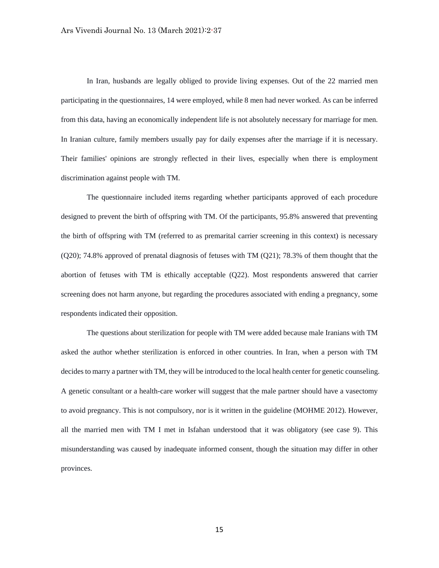In Iran, husbands are legally obliged to provide living expenses. Out of the 22 married men participating in the questionnaires, 14 were employed, while 8 men had never worked. As can be inferred from this data, having an economically independent life is not absolutely necessary for marriage for men. In Iranian culture, family members usually pay for daily expenses after the marriage if it is necessary. Their families' opinions are strongly reflected in their lives, especially when there is employment discrimination against people with TM.

The questionnaire included items regarding whether participants approved of each procedure designed to prevent the birth of offspring with TM. Of the participants, 95.8% answered that preventing the birth of offspring with TM (referred to as premarital carrier screening in this context) is necessary (Q20); 74.8% approved of prenatal diagnosis of fetuses with TM (Q21); 78.3% of them thought that the abortion of fetuses with TM is ethically acceptable (Q22). Most respondents answered that carrier screening does not harm anyone, but regarding the procedures associated with ending a pregnancy, some respondents indicated their opposition.

The questions about sterilization for people with TM were added because male Iranians with TM asked the author whether sterilization is enforced in other countries. In Iran, when a person with TM decides to marry a partner with TM, they will be introduced to the local health center for genetic counseling. A genetic consultant or a health-care worker will suggest that the male partner should have a vasectomy to avoid pregnancy. This is not compulsory, nor is it written in the guideline (MOHME 2012). However, all the married men with TM I met in Isfahan understood that it was obligatory (see case 9). This misunderstanding was caused by inadequate informed consent, though the situation may differ in other provinces.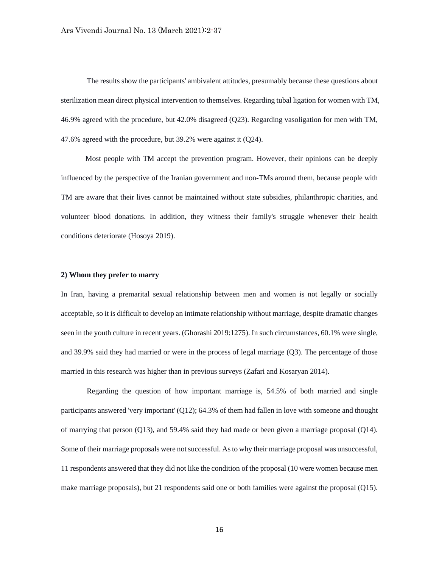The results show the participants' ambivalent attitudes, presumably because these questions about sterilization mean direct physical intervention to themselves. Regarding tubal ligation for women with TM, 46.9% agreed with the procedure, but 42.0% disagreed (Q23). Regarding vasoligation for men with TM, 47.6% agreed with the procedure, but 39.2% were against it (Q24).

 Most people with TM accept the prevention program. However, their opinions can be deeply influenced by the perspective of the Iranian government and non-TMs around them, because people with TM are aware that their lives cannot be maintained without state subsidies, philanthropic charities, and volunteer blood donations. In addition, they witness their family's struggle whenever their health conditions deteriorate (Hosoya 2019).

# **2) Whom they prefer to marry**

In Iran, having a premarital sexual relationship between men and women is not legally or socially acceptable, so it is difficult to develop an intimate relationship without marriage, despite dramatic changes seen in the youth culture in recent years. (Ghorashi 2019:1275). In such circumstances, 60.1% were single, and 39.9% said they had married or were in the process of legal marriage (Q3). The percentage of those married in this research was higher than in previous surveys (Zafari and Kosaryan 2014).

Regarding the question of how important marriage is, 54.5% of both married and single participants answered 'very important' (Q12); 64.3% of them had fallen in love with someone and thought of marrying that person (Q13), and 59.4% said they had made or been given a marriage proposal (Q14). Some of their marriage proposals were not successful. As to why their marriage proposal was unsuccessful, 11 respondents answered that they did not like the condition of the proposal (10 were women because men make marriage proposals), but 21 respondents said one or both families were against the proposal (Q15).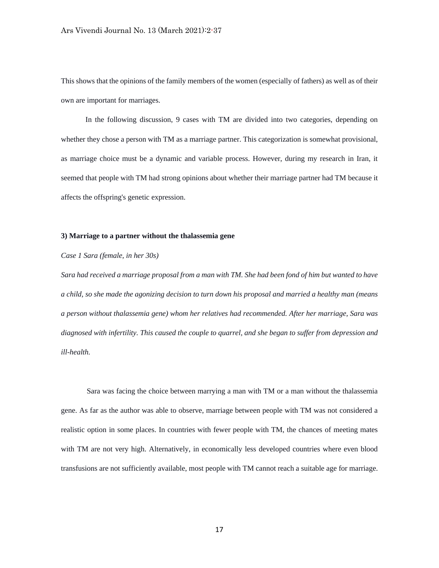This shows that the opinions of the family members of the women (especially of fathers) as well as of their own are important for marriages.

 In the following discussion, 9 cases with TM are divided into two categories, depending on whether they chose a person with TM as a marriage partner. This categorization is somewhat provisional, as marriage choice must be a dynamic and variable process. However, during my research in Iran, it seemed that people with TM had strong opinions about whether their marriage partner had TM because it affects the offspring's genetic expression.

# **3) Marriage to a partner without the thalassemia gene**

#### *Case 1 Sara (female, in her 30s)*

*Sara had received a marriage proposal from a man with TM. She had been fond of him but wanted to have a child, so she made the agonizing decision to turn down his proposal and married a healthy man (means a person without thalassemia gene) whom her relatives had recommended. After her marriage, Sara was diagnosed with infertility. This caused the couple to quarrel, and she began to suffer from depression and ill-health.*

Sara was facing the choice between marrying a man with TM or a man without the thalassemia gene. As far as the author was able to observe, marriage between people with TM was not considered a realistic option in some places. In countries with fewer people with TM, the chances of meeting mates with TM are not very high. Alternatively, in economically less developed countries where even blood transfusions are not sufficiently available, most people with TM cannot reach a suitable age for marriage.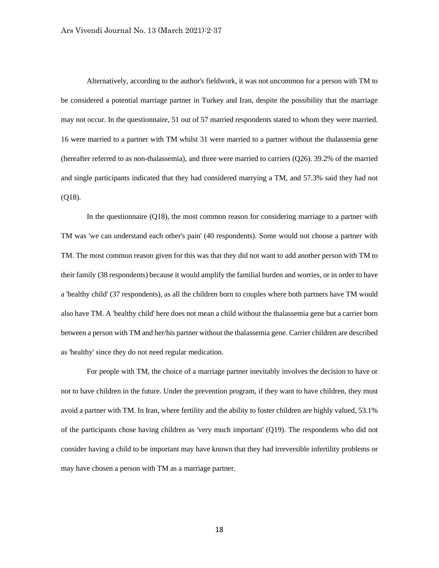Alternatively, according to the author's fieldwork, it was not uncommon for a person with TM to be considered a potential marriage partner in Turkey and Iran, despite the possibility that the marriage may not occur. In the questionnaire, 51 out of 57 married respondents stated to whom they were married. 16 were married to a partner with TM whilst 31 were married to a partner without the thalassemia gene (hereafter referred to as non-thalassemia), and three were married to carriers (Q26). 39.2% of the married and single participants indicated that they had considered marrying a TM, and 57.3% said they had not (Q18).

In the questionnaire (Q18), the most common reason for considering marriage to a partner with TM was 'we can understand each other's pain' (40 respondents). Some would not choose a partner with TM. The most common reason given for this was that they did not want to add another person with TM to their family (38 respondents) because it would amplify the familial burden and worries, or in order to have a 'healthy child' (37 respondents), as all the children born to couples where both partners have TM would also have TM. A 'healthy child' here does not mean a child without the thalassemia gene but a carrier born between a person with TM and her/his partner without the thalassemia gene. Carrier children are described as 'healthy' since they do not need regular medication.

For people with TM, the choice of a marriage partner inevitably involves the decision to have or not to have children in the future. Under the prevention program, if they want to have children, they must avoid a partner with TM. In Iran, where fertility and the ability to foster children are highly valued, 53.1% of the participants chose having children as 'very much important' (Q19). The respondents who did not consider having a child to be important may have known that they had irreversible infertility problems or may have chosen a person with TM as a marriage partner.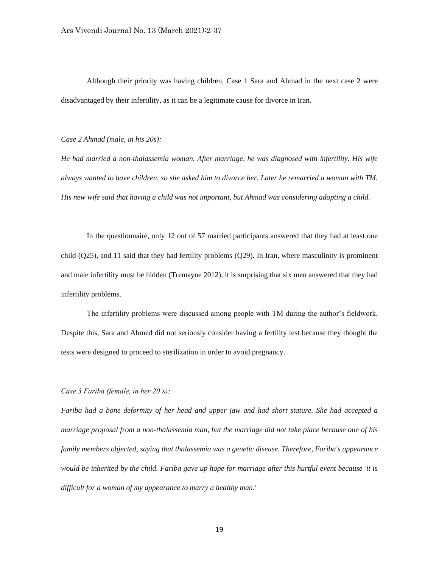Although their priority was having children, Case 1 Sara and Ahmad in the next case 2 were disadvantaged by their infertility, as it can be a legitimate cause for divorce in Iran.

#### *Case 2 Ahmad (male, in his 20s):*

*He had married a non-thalassemia woman. After marriage, he was diagnosed with infertility. His wife always wanted to have children, so she asked him to divorce her. Later he remarried a woman with TM. His new wife said that having a child was not important, but Ahmad was considering adopting a child.*

In the questionnaire, only 12 out of 57 married participants answered that they had at least one child (Q25), and 11 said that they had fertility problems (Q29). In Iran, where masculinity is prominent and male infertility must be hidden (Tremayne 2012), it is surprising that six men answered that they had infertility problems.

The infertility problems were discussed among people with TM during the author's fieldwork. Despite this, Sara and Ahmed did not seriously consider having a fertility test because they thought the tests were designed to proceed to sterilization in order to avoid pregnancy.

# *Case 3 Fariba (female, in her 20's):*

*Fariba had a bone deformity of her head and upper jaw and had short stature. She had accepted a marriage proposal from a non-thalassemia man, but the marriage did not take place because one of his family members objected, saying that thalassemia was a genetic disease. Therefore, Fariba's appearance would be inherited by the child. Fariba gave up hope for marriage after this hurtful event because 'it is difficult for a woman of my appearance to marry a healthy man.'*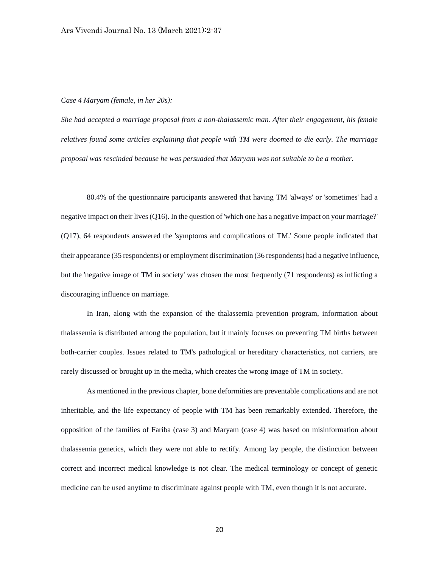#### *Case 4 Maryam (female, in her 20s):*

*She had accepted a marriage proposal from a non-thalassemic man. After their engagement, his female relatives found some articles explaining that people with TM were doomed to die early. The marriage proposal was rescinded because he was persuaded that Maryam was not suitable to be a mother.*

80.4% of the questionnaire participants answered that having TM 'always' or 'sometimes' had a negative impact on their lives (Q16). In the question of 'which one has a negative impact on your marriage?' (Q17), 64 respondents answered the 'symptoms and complications of TM.' Some people indicated that their appearance (35 respondents) or employment discrimination (36 respondents) had a negative influence, but the 'negative image of TM in society' was chosen the most frequently (71 respondents) as inflicting a discouraging influence on marriage.

In Iran, along with the expansion of the thalassemia prevention program, information about thalassemia is distributed among the population, but it mainly focuses on preventing TM births between both-carrier couples. Issues related to TM's pathological or hereditary characteristics, not carriers, are rarely discussed or brought up in the media, which creates the wrong image of TM in society.

As mentioned in the previous chapter, bone deformities are preventable complications and are not inheritable, and the life expectancy of people with TM has been remarkably extended. Therefore, the opposition of the families of Fariba (case 3) and Maryam (case 4) was based on misinformation about thalassemia genetics, which they were not able to rectify. Among lay people, the distinction between correct and incorrect medical knowledge is not clear. The medical terminology or concept of genetic medicine can be used anytime to discriminate against people with TM, even though it is not accurate.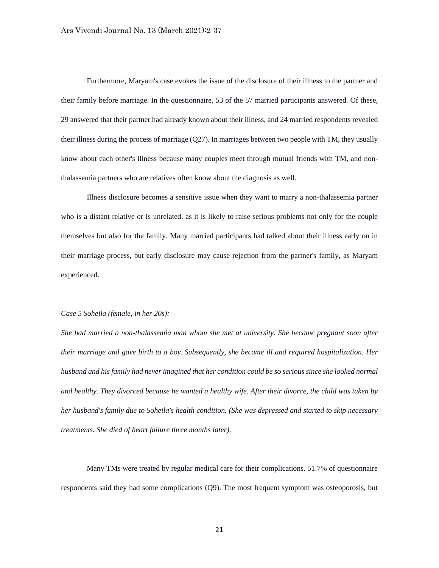Furthermore, Maryam's case evokes the issue of the disclosure of their illness to the partner and their family before marriage. In the questionnaire, 53 of the 57 married participants answered. Of these, 29 answered that their partner had already known about their illness, and 24 married respondents revealed their illness during the process of marriage (Q27). In marriages between two people with TM, they usually know about each other's illness because many couples meet through mutual friends with TM, and nonthalassemia partners who are relatives often know about the diagnosis as well.

Illness disclosure becomes a sensitive issue when they want to marry a non-thalassemia partner who is a distant relative or is unrelated, as it is likely to raise serious problems not only for the couple themselves but also for the family. Many married participants had talked about their illness early on in their marriage process, but early disclosure may cause rejection from the partner's family, as Maryam experienced.

#### *Case 5 Soheila (female, in her 20s):*

*She had married a non-thalassemia man whom she met at university. She became pregnant soon after their marriage and gave birth to a boy. Subsequently, she became ill and required hospitalization. Her husband and his family had never imagined that her condition could be so serious since she looked normal and healthy. They divorced because he wanted a healthy wife. After their divorce, the child was taken by her husband's family due to Soheila's health condition. (She was depressed and started to skip necessary treatments. She died of heart failure three months later).*

Many TMs were treated by regular medical care for their complications. 51.7% of questionnaire respondents said they had some complications (Q9). The most frequent symptom was osteoporosis, but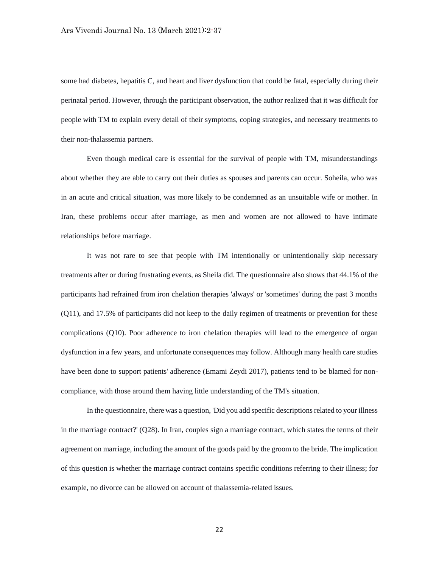some had diabetes, hepatitis C, and heart and liver dysfunction that could be fatal, especially during their perinatal period. However, through the participant observation, the author realized that it was difficult for people with TM to explain every detail of their symptoms, coping strategies, and necessary treatments to their non-thalassemia partners.

Even though medical care is essential for the survival of people with TM, misunderstandings about whether they are able to carry out their duties as spouses and parents can occur. Soheila, who was in an acute and critical situation, was more likely to be condemned as an unsuitable wife or mother. In Iran, these problems occur after marriage, as men and women are not allowed to have intimate relationships before marriage.

It was not rare to see that people with TM intentionally or unintentionally skip necessary treatments after or during frustrating events, as Sheila did. The questionnaire also shows that 44.1% of the participants had refrained from iron chelation therapies 'always' or 'sometimes' during the past 3 months (Q11), and 17.5% of participants did not keep to the daily regimen of treatments or prevention for these complications (Q10). Poor adherence to iron chelation therapies will lead to the emergence of organ dysfunction in a few years, and unfortunate consequences may follow. Although many health care studies have been done to support patients' adherence (Emami Zeydi 2017), patients tend to be blamed for noncompliance, with those around them having little understanding of the TM's situation.

In the questionnaire, there was a question, 'Did you add specific descriptions related to your illness in the marriage contract?' (Q28). In Iran, couples sign a marriage contract, which states the terms of their agreement on marriage, including the amount of the goods paid by the groom to the bride. The implication of this question is whether the marriage contract contains specific conditions referring to their illness; for example, no divorce can be allowed on account of thalassemia-related issues.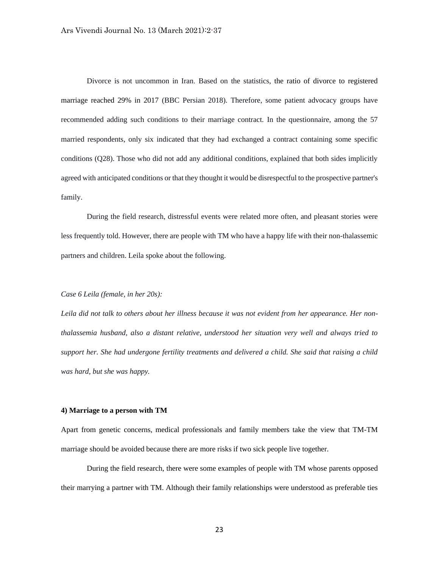Divorce is not uncommon in Iran. Based on the statistics, the ratio of divorce to registered marriage reached 29% in 2017 (BBC Persian 2018). Therefore, some patient advocacy groups have recommended adding such conditions to their marriage contract. In the questionnaire, among the 57 married respondents, only six indicated that they had exchanged a contract containing some specific conditions (Q28). Those who did not add any additional conditions, explained that both sides implicitly agreed with anticipated conditions or that they thought it would be disrespectful to the prospective partner's family.

During the field research, distressful events were related more often, and pleasant stories were less frequently told. However, there are people with TM who have a happy life with their non-thalassemic partners and children. Leila spoke about the following.

# *Case 6 Leila (female, in her 20s):*

*Leila did not talk to others about her illness because it was not evident from her appearance. Her nonthalassemia husband, also a distant relative, understood her situation very well and always tried to support her. She had undergone fertility treatments and delivered a child. She said that raising a child was hard, but she was happy.*

#### **4) Marriage to a person with TM**

Apart from genetic concerns, medical professionals and family members take the view that TM-TM marriage should be avoided because there are more risks if two sick people live together.

During the field research, there were some examples of people with TM whose parents opposed their marrying a partner with TM. Although their family relationships were understood as preferable ties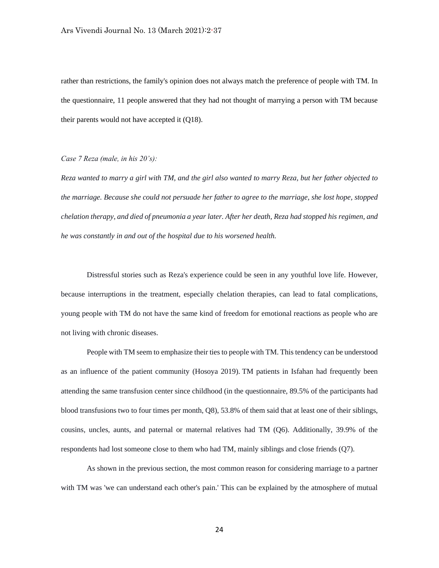rather than restrictions, the family's opinion does not always match the preference of people with TM. In the questionnaire, 11 people answered that they had not thought of marrying a person with TM because their parents would not have accepted it (Q18).

# *Case 7 Reza (male, in his 20's):*

*Reza wanted to marry a girl with TM, and the girl also wanted to marry Reza, but her father objected to the marriage. Because she could not persuade her father to agree to the marriage, she lost hope, stopped chelation therapy, and died of pneumonia a year later. After her death, Reza had stopped his regimen, and he was constantly in and out of the hospital due to his worsened health.*

Distressful stories such as Reza's experience could be seen in any youthful love life. However, because interruptions in the treatment, especially chelation therapies, can lead to fatal complications, young people with TM do not have the same kind of freedom for emotional reactions as people who are not living with chronic diseases.

People with TM seem to emphasize their ties to people with TM. This tendency can be understood as an influence of the patient community (Hosoya 2019). TM patients in Isfahan had frequently been attending the same transfusion center since childhood (in the questionnaire, 89.5% of the participants had blood transfusions two to four times per month, Q8), 53.8% of them said that at least one of their siblings, cousins, uncles, aunts, and paternal or maternal relatives had TM (Q6). Additionally, 39.9% of the respondents had lost someone close to them who had TM, mainly siblings and close friends (Q7).

As shown in the previous section, the most common reason for considering marriage to a partner with TM was 'we can understand each other's pain.' This can be explained by the atmosphere of mutual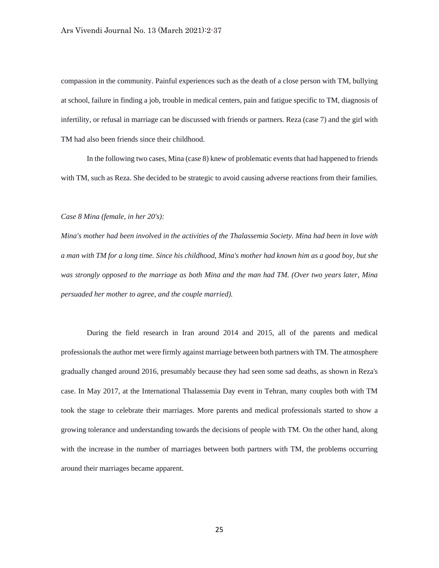compassion in the community. Painful experiences such as the death of a close person with TM, bullying at school, failure in finding a job, trouble in medical centers, pain and fatigue specific to TM, diagnosis of infertility, or refusal in marriage can be discussed with friends or partners. Reza (case 7) and the girl with TM had also been friends since their childhood.

In the following two cases, Mina (case 8) knew of problematic events that had happened to friends with TM, such as Reza. She decided to be strategic to avoid causing adverse reactions from their families.

### *Case 8 Mina (female, in her 20's):*

*Mina's mother had been involved in the activities of the Thalassemia Society. Mina had been in love with a man with TM for a long time. Since his childhood, Mina's mother had known him as a good boy, but she was strongly opposed to the marriage as both Mina and the man had TM. (Over two years later, Mina persuaded her mother to agree, and the couple married).*

During the field research in Iran around 2014 and 2015, all of the parents and medical professionals the author met were firmly against marriage between both partners with TM. The atmosphere gradually changed around 2016, presumably because they had seen some sad deaths, as shown in Reza's case. In May 2017, at the International Thalassemia Day event in Tehran, many couples both with TM took the stage to celebrate their marriages. More parents and medical professionals started to show a growing tolerance and understanding towards the decisions of people with TM. On the other hand, along with the increase in the number of marriages between both partners with TM, the problems occurring around their marriages became apparent.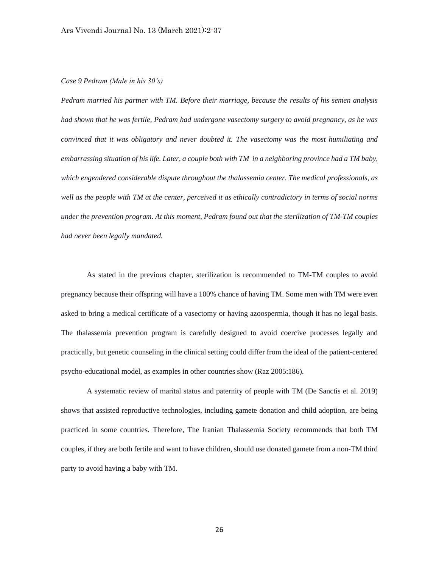# *Case 9 Pedram (Male in his 30's)*

*Pedram married his partner with TM. Before their marriage, because the results of his semen analysis had shown that he was fertile, Pedram had undergone vasectomy surgery to avoid pregnancy, as he was convinced that it was obligatory and never doubted it. The vasectomy was the most humiliating and embarrassing situation of his life. Later, a couple both with TM in a neighboring province had a TM baby, which engendered considerable dispute throughout the thalassemia center. The medical professionals, as well as the people with TM at the center, perceived it as ethically contradictory in terms of social norms under the prevention program. At this moment, Pedram found out that the sterilization of TM-TM couples had never been legally mandated.*

As stated in the previous chapter, sterilization is recommended to TM-TM couples to avoid pregnancy because their offspring will have a 100% chance of having TM. Some men with TM were even asked to bring a medical certificate of a vasectomy or having azoospermia, though it has no legal basis. The thalassemia prevention program is carefully designed to avoid coercive processes legally and practically, but genetic counseling in the clinical setting could differ from the ideal of the patient-centered psycho-educational model, as examples in other countries show (Raz 2005:186).

A systematic review of marital status and paternity of people with TM (De Sanctis et al. 2019) shows that assisted reproductive technologies, including gamete donation and child adoption, are being practiced in some countries. Therefore, The Iranian Thalassemia Society recommends that both TM couples, if they are both fertile and want to have children, should use donated gamete from a non-TM third party to avoid having a baby with TM.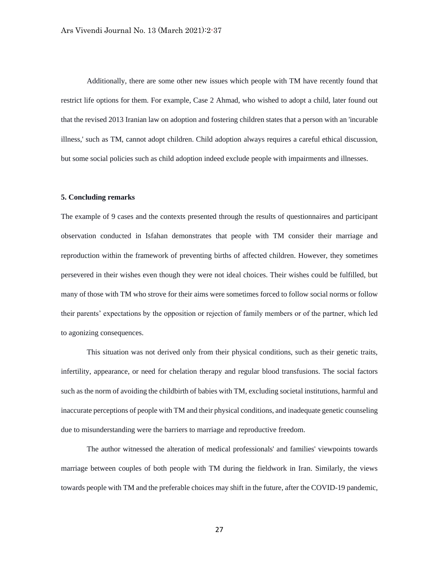Additionally, there are some other new issues which people with TM have recently found that restrict life options for them. For example, Case 2 Ahmad, who wished to adopt a child, later found out that the revised 2013 Iranian law on adoption and fostering children states that a person with an 'incurable illness,' such as TM, cannot adopt children. Child adoption always requires a careful ethical discussion, but some social policies such as child adoption indeed exclude people with impairments and illnesses.

#### **5. Concluding remarks**

The example of 9 cases and the contexts presented through the results of questionnaires and participant observation conducted in Isfahan demonstrates that people with TM consider their marriage and reproduction within the framework of preventing births of affected children. However, they sometimes persevered in their wishes even though they were not ideal choices. Their wishes could be fulfilled, but many of those with TM who strove for their aims were sometimes forced to follow social norms or follow their parents' expectations by the opposition or rejection of family members or of the partner, which led to agonizing consequences.

This situation was not derived only from their physical conditions, such as their genetic traits, infertility, appearance, or need for chelation therapy and regular blood transfusions. The social factors such as the norm of avoiding the childbirth of babies with TM, excluding societal institutions, harmful and inaccurate perceptions of people with TM and their physical conditions, and inadequate genetic counseling due to misunderstanding were the barriers to marriage and reproductive freedom.

The author witnessed the alteration of medical professionals' and families' viewpoints towards marriage between couples of both people with TM during the fieldwork in Iran. Similarly, the views towards people with TM and the preferable choices may shift in the future, after the COVID-19 pandemic,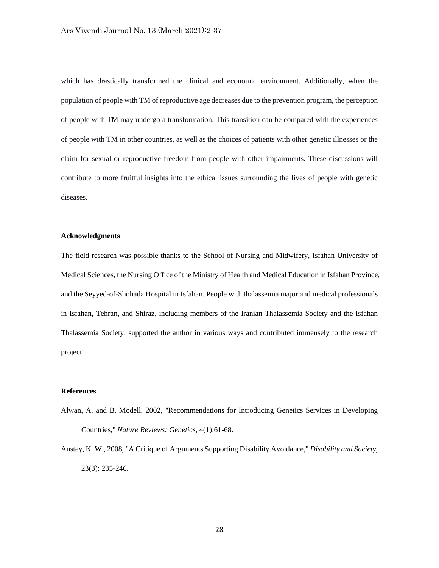which has drastically transformed the clinical and economic environment. Additionally, when the population of people with TM of reproductive age decreases due to the prevention program, the perception of people with TM may undergo a transformation. This transition can be compared with the experiences of people with TM in other countries, as well as the choices of patients with other genetic illnesses or the claim for sexual or reproductive freedom from people with other impairments. These discussions will contribute to more fruitful insights into the ethical issues surrounding the lives of people with genetic diseases.

#### **Acknowledgments**

The field research was possible thanks to the School of Nursing and Midwifery, Isfahan University of Medical Sciences, the Nursing Office of the Ministry of Health and Medical Education in Isfahan Province, and the Seyyed-of-Shohada Hospital in Isfahan. People with thalassemia major and medical professionals in Isfahan, Tehran, and Shiraz, including members of the Iranian Thalassemia Society and the Isfahan Thalassemia Society, supported the author in various ways and contributed immensely to the research project.

# **References**

- Alwan, A. and B. Modell, 2002, "Recommendations for Introducing Genetics Services in Developing Countries," *Nature Reviews: Genetics*, 4(1):61-68.
- Anstey, K. W., 2008, "A Critique of Arguments Supporting Disability Avoidance," *Disability and Society*, 23(3): 235-246.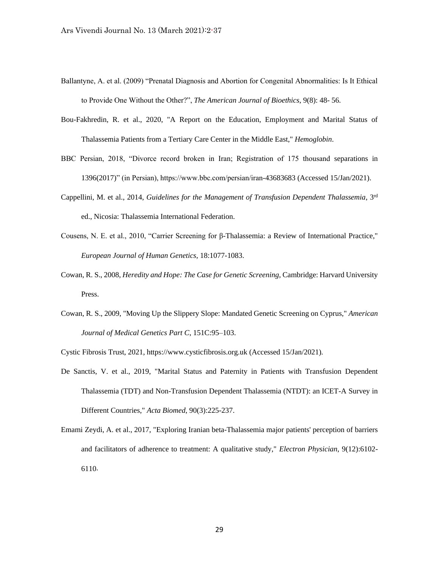- Ballantyne, A. et al. (2009) "Prenatal Diagnosis and Abortion for Congenital Abnormalities: Is It Ethical to Provide One Without the Other?", *The American Journal of Bioethics*, 9(8): 48- 56.
- Bou-Fakhredin, R. et al., 2020, "A Report on the Education, Employment and Marital Status of Thalassemia Patients from a Tertiary Care Center in the Middle East," *Hemoglobin*.
- BBC Persian, 2018, "Divorce record broken in Iran; Registration of 175 thousand separations in 1396(2017)" (in Persian), https://www.bbc.com/persian/iran-43683683 (Accessed 15/Jan/2021).
- Cappellini, M. et al., 2014, *Guidelines for the Management of Transfusion Dependent Thalassemia*, 3rd ed., Nicosia: Thalassemia International Federation.
- Cousens, N. E. et al., 2010, "Carrier Screening for β-Thalassemia: a Review of International Practice," *European Journal of Human Genetics,* 18:1077-1083.
- Cowan, R. S., 2008, *Heredity and Hope: The Case for Genetic Screening*, Cambridge: Harvard University Press.
- Cowan, R. S., 2009, "Moving Up the Slippery Slope: Mandated Genetic Screening on Cyprus," *American Journal of Medical Genetics Part C*, 151C:95–103.

Cystic Fibrosis Trust, 2021, https://www.cysticfibrosis.org.uk (Accessed 15/Jan/2021).

- De Sanctis, V. et al., 2019, "Marital Status and Paternity in Patients with Transfusion Dependent Thalassemia (TDT) and Non-Transfusion Dependent Thalassemia (NTDT): an ICET-A Survey in Different Countries," *Acta Biomed*, 90(3):225-237.
- Emami Zeydi, A. et al., 2017, "Exploring Iranian beta-Thalassemia major patients' perception of barriers and facilitators of adherence to treatment: A qualitative study," *Electron Physician*, 9(12):6102- 6110.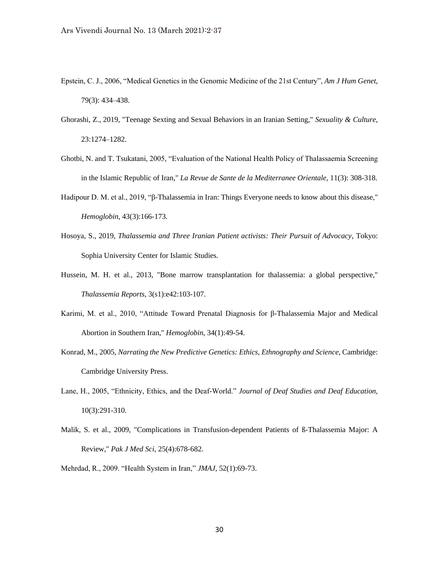- Epstein, C. J., 2006, "Medical Genetics in the Genomic Medicine of the 21st Century", *Am J Hum Genet*, 79(3): 434–438.
- Ghorashi, Z., 2019, "Teenage Sexting and Sexual Behaviors in an Iranian Setting," *Sexuality & Culture*, 23:1274–1282.
- Ghotbi, N. and T. Tsukatani, 2005, "Evaluation of the National Health Policy of Thalassaemia Screening in the Islamic Republic of Iran," *La Revue de Sante de la Mediterranee Orientale*, 11(3): 308-318.
- Hadipour D. M. et al., 2019, "β-Thalassemia in Iran: Things Everyone needs to know about this disease," *Hemoglobin,* 43(3):166-173*.*
- Hosoya, S., 2019, *Thalassemia and Three Iranian Patient activists: Their Pursuit of Advocacy*, Tokyo: Sophia University Center for Islamic Studies.
- Hussein, M. H. et al., 2013, "Bone marrow transplantation for thalassemia: a global perspective," *Thalassemia Reports*, 3(s1):e42:103-107.
- Karimi, M. et al., 2010, "Attitude Toward Prenatal Diagnosis for β-Thalassemia Major and Medical Abortion in Southern Iran," *Hemoglobin*, 34(1):49-54.
- Konrad, M., 2005, *Narrating the New Predictive Genetics: Ethics, Ethnography and Science*, Cambridge: Cambridge University Press.
- Lane, H., 2005, "Ethnicity, Ethics, and the Deaf-World." *Journal of Deaf Studies and Deaf Education,* 10(3):291-310.
- Malik, S. et al., 2009, "Complications in Transfusion-dependent Patients of ß-Thalassemia Major: A Review," *Pak J Med Sci*, 25(4):678-682.
- Mehrdad, R., 2009. "Health System in Iran," *JMAJ*, 52(1):69-73.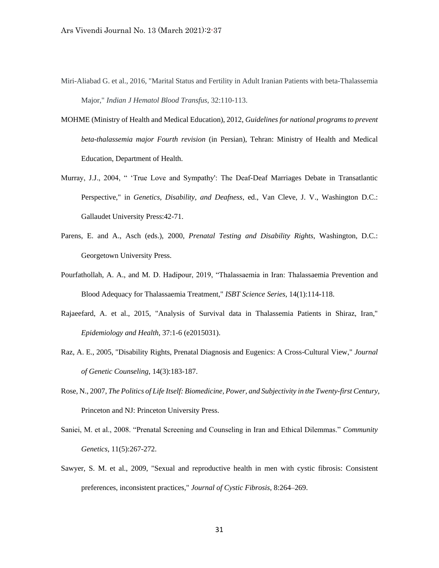- Miri-Aliabad G. et al., 2016, "Marital Status and Fertility in Adult Iranian Patients with beta-Thalassemia Major," *Indian J Hematol Blood Transfus*, 32:110-113.
- MOHME (Ministry of Health and Medical Education), 2012, *Guidelines for national programs to prevent beta-thalassemia major Fourth revision* (in Persian), Tehran: Ministry of Health and Medical Education, Department of Health.
- Murray, J.J., 2004, " 'True Love and Sympathy': The Deaf-Deaf Marriages Debate in Transatlantic Perspective," in *Genetics, Disability, and Deafness*, ed., Van Cleve, J. V., Washington D.C.: Gallaudet University Press:42-71.
- Parens, E. and A., Asch (eds.), 2000, *Prenatal Testing and Disability Rights*, Washington, D.C.: Georgetown University Press.
- Pourfathollah, A. A., and M. D. Hadipour, 2019, "Thalassaemia in Iran: Thalassaemia Prevention and Blood Adequacy for Thalassaemia Treatment," *ISBT Science Series*, 14(1):114-118.
- Rajaeefard, A. et al., 2015, "Analysis of Survival data in Thalassemia Patients in Shiraz, Iran," *Epidemiology and Health,* 37:1-6 (e2015031).
- Raz, A. E., 2005, "Disability Rights, Prenatal Diagnosis and Eugenics: A Cross-Cultural View," *Journal of Genetic Counseling*, 14(3):183-187.
- Rose, N., 2007, *The Politics of Life Itself: Biomedicine, Power, and Subjectivity in the Twenty-first Century,* Princeton and NJ: Princeton University Press.
- Saniei, M. et al., 2008. "Prenatal Screening and Counseling in Iran and Ethical Dilemmas." *Community Genetics,* 11(5):267-272.
- Sawyer, S. M. et al., 2009, "Sexual and reproductive health in men with cystic fibrosis: Consistent preferences, inconsistent practices," *Journal of Cystic Fibrosis*, 8:264–269.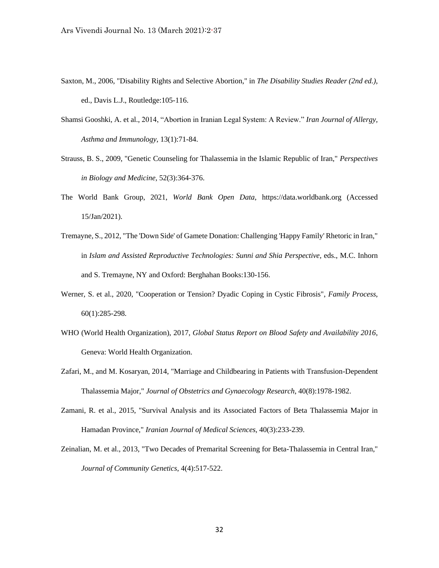- Saxton, M., 2006, "Disability Rights and Selective Abortion," in *The Disability Studies Reader (2nd ed.)*, ed., Davis L.J., Routledge:105-116.
- Shamsi Gooshki, A. et al., 2014, "Abortion in Iranian Legal System: A Review." *Iran Journal of Allergy, Asthma and Immunology*, 13(1):71-84.
- Strauss, B. S., 2009, "Genetic Counseling for Thalassemia in the Islamic Republic of Iran," *Perspectives in Biology and Medicine,* 52(3):364-376.
- The World Bank Group, 2021, *World Bank Open Data*, https://data.worldbank.org (Accessed 15/Jan/2021).
- Tremayne, S., 2012, "The 'Down Side' of Gamete Donation: Challenging 'Happy Family' Rhetoric in Iran," in *Islam and Assisted Reproductive Technologies: Sunni and Shia Perspective,* eds., M.C. Inhorn and S. Tremayne, NY and Oxford: Berghahan Books:130-156.
- Werner, S. et al., 2020, "Cooperation or Tension? Dyadic Coping in Cystic Fibrosis", *Family Process*, 60(1):285-298.
- WHO (World Health Organization), 2017, *Global Status Report on Blood Safety and Availability 2016*, Geneva: World Health Organization.
- Zafari, M., and M. Kosaryan, 2014, "Marriage and Childbearing in Patients with Transfusion-Dependent Thalassemia Major," *Journal of Obstetrics and Gynaecology Research*, 40(8):1978-1982.
- Zamani, R. et al., 2015, "Survival Analysis and its Associated Factors of Beta Thalassemia Major in Hamadan Province," *Iranian Journal of Medical Sciences,* 40(3):233-239.
- Zeinalian, M. et al., 2013, "Two Decades of Premarital Screening for Beta-Thalassemia in Central Iran," *Journal of Community Genetics*, 4(4):517-522.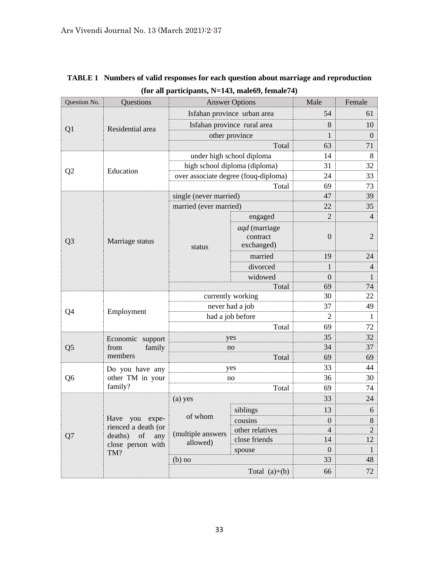| Question No.   | Questions                                                                                 | <b>Answer Options</b>                |                                         | Male                               | Female                           |
|----------------|-------------------------------------------------------------------------------------------|--------------------------------------|-----------------------------------------|------------------------------------|----------------------------------|
| Q <sub>1</sub> | Residential area                                                                          | Isfahan province urban area          |                                         | 54                                 | 61                               |
|                |                                                                                           | Isfahan province rural area          |                                         | 8                                  | 10                               |
|                |                                                                                           | other province                       |                                         | 1                                  | $\overline{0}$                   |
|                |                                                                                           |                                      | Total                                   | 63                                 | 71                               |
|                |                                                                                           | under high school diploma            |                                         | 14                                 | 8                                |
| Q <sub>2</sub> | Education                                                                                 | high school diploma (diploma)        |                                         | 31                                 | 32                               |
|                |                                                                                           | over associate degree (fouq-diploma) |                                         | 24                                 | 33                               |
|                |                                                                                           |                                      | Total                                   | 69                                 | 73                               |
|                |                                                                                           | single (never married)               |                                         | 47                                 | 39                               |
|                |                                                                                           | married (ever married)               |                                         | 22                                 | 35                               |
|                |                                                                                           |                                      | engaged                                 | $\overline{2}$                     | $\overline{4}$                   |
| Q <sub>3</sub> | Marriage status                                                                           | status                               | aqd (marriage<br>contract<br>exchanged) | $\overline{0}$                     | $\overline{2}$                   |
|                |                                                                                           |                                      | married                                 | 19                                 | 24                               |
|                |                                                                                           |                                      | divorced                                | 1                                  | $\overline{4}$                   |
|                |                                                                                           |                                      | widowed                                 | $\overline{0}$                     | $\mathbf{1}$                     |
|                |                                                                                           | Total                                |                                         | 69                                 | 74                               |
|                | Employment                                                                                | currently working                    |                                         | 30                                 | 22                               |
| Q <sub>4</sub> |                                                                                           | never had a job                      |                                         | 37                                 | 49                               |
|                |                                                                                           | had a job before                     |                                         | $\overline{2}$                     | 1                                |
|                |                                                                                           | Total                                |                                         | 69                                 | 72                               |
|                | Economic support<br>from<br>family<br>members                                             | yes                                  |                                         | 35                                 | 32                               |
| Q <sub>5</sub> |                                                                                           | no                                   |                                         | 34                                 | 37                               |
|                |                                                                                           | Total                                |                                         | 69                                 | 69                               |
|                | Do you have any<br>other TM in your<br>family?                                            | yes                                  |                                         | 33<br>36                           | 44<br>30                         |
| Q <sub>6</sub> |                                                                                           | no<br>Total                          |                                         | 69                                 | 74                               |
|                |                                                                                           | (a) yes                              |                                         | 33                                 | 24                               |
|                |                                                                                           |                                      |                                         | 13                                 | 6                                |
| Q7             | Have you expe-<br>rienced a death (or<br>of<br>deaths)<br>any<br>close person with<br>TM? | of whom                              | siblings                                |                                    |                                  |
|                |                                                                                           | (multiple answers<br>allowed)        | cousins<br>other relatives              | $\boldsymbol{0}$<br>$\overline{4}$ | $8\phantom{.}$<br>$\overline{2}$ |
|                |                                                                                           |                                      | close friends                           | 14                                 | 12                               |
|                |                                                                                           |                                      | spouse                                  | $\boldsymbol{0}$                   | $\mathbf{1}$                     |
|                |                                                                                           | $(b)$ no                             |                                         | 33                                 | 48                               |
|                |                                                                                           | Total $(a)+(b)$                      |                                         | 66                                 | 72                               |

# **TABLE 1 Numbers of valid responses for each question about marriage and reproduction (for all participants, N=143, male69, female74)**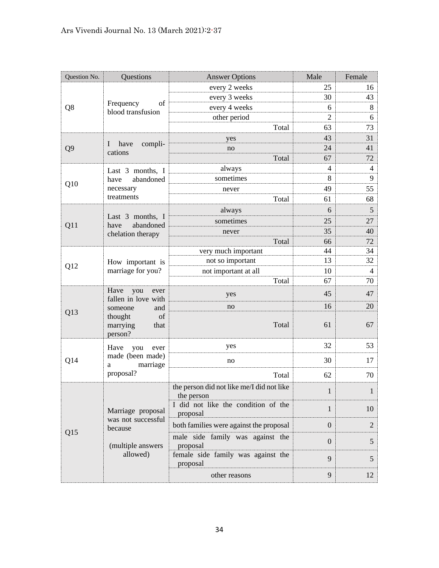| Question No.   | Questions                                                                                                    | <b>Answer Options</b>                                   | Male             | Female         |
|----------------|--------------------------------------------------------------------------------------------------------------|---------------------------------------------------------|------------------|----------------|
| Q8             | Frequency<br>of<br>blood transfusion                                                                         | every 2 weeks                                           | 25               | 16             |
|                |                                                                                                              | every 3 weeks                                           | 30               | 43             |
|                |                                                                                                              | every 4 weeks                                           | 6                | 8              |
|                |                                                                                                              | other period                                            | $\overline{2}$   | 6              |
|                |                                                                                                              | Total                                                   | 63               | 73             |
|                |                                                                                                              | yes                                                     | 43               | 31             |
| Q <sub>9</sub> | compli-<br>I have<br>cations                                                                                 | no                                                      | 24               | 41             |
|                |                                                                                                              | Total                                                   | 67               | 72             |
|                | Last 3 months, I                                                                                             | always                                                  | $\overline{4}$   | 4              |
| Q10            | abandoned<br>have                                                                                            | sometimes                                               | 8                | 9              |
|                | necessary                                                                                                    | never                                                   | 49               | 55             |
|                | treatments                                                                                                   | Total                                                   | 61               | 68             |
|                |                                                                                                              | always                                                  | 6                | 5              |
| Q11            | Last 3 months, I<br>abandoned<br>have<br>chelation therapy                                                   | sometimes                                               | 25               | 27             |
|                |                                                                                                              | never                                                   | 35               | 40             |
|                |                                                                                                              | Total                                                   | 66               | 72             |
|                | How important is<br>marriage for you?                                                                        | very much important                                     | 44               | 34             |
| Q12            |                                                                                                              | not so important                                        | 13               | 32             |
|                |                                                                                                              | not important at all                                    | 10               | $\overline{4}$ |
|                |                                                                                                              | Total                                                   | 67               | 70             |
|                | Have<br>you<br>ever<br>fallen in love with<br>and<br>someone<br>thought<br>of<br>marrying<br>that<br>person? | yes                                                     | 45               | 47             |
|                |                                                                                                              | no                                                      | 16               | 20             |
| Q13            |                                                                                                              | Total                                                   | 61               | 67             |
|                | Have<br>you<br>ever<br>made (been made)<br>marriage<br>a<br>proposal?                                        | yes                                                     | 32               | 53             |
| Q14            |                                                                                                              | no                                                      | 30               | 17             |
|                |                                                                                                              | Total                                                   | 62               | 70             |
|                | Marriage proposal<br>was not successful<br>because<br>(multiple answers<br>allowed)                          | the person did not like me/I did not like<br>the person | $\mathbf{1}$     | $\mathbf{1}$   |
|                |                                                                                                              | I did not like the condition of the<br>proposal         | $\mathbf{1}$     | 10             |
| Q15            |                                                                                                              | both families were against the proposal                 | $\overline{0}$   | $\overline{2}$ |
|                |                                                                                                              | male side family was against the<br>proposal            | $\boldsymbol{0}$ | 5              |
|                |                                                                                                              | female side family was against the<br>proposal          | 9                | 5              |
|                |                                                                                                              | other reasons                                           | 9                | 12             |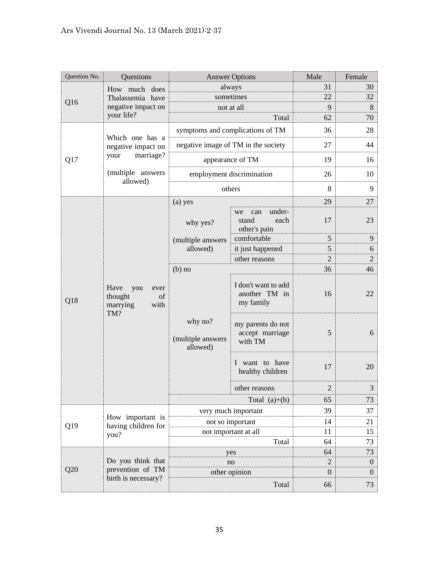| Question No. | Questions                                                       | <b>Answer Options</b>                    |                                                      | Male             | Female         |
|--------------|-----------------------------------------------------------------|------------------------------------------|------------------------------------------------------|------------------|----------------|
| Q16          | How much does<br>Thalassemia have                               | always                                   |                                                      | 31               | 30             |
|              |                                                                 | sometimes                                |                                                      | 22               | 32             |
|              | negative impact on                                              |                                          | not at all                                           | 9                | 8              |
|              | your life?                                                      |                                          | Total                                                | 62               | 70             |
|              | Which one has a                                                 | symptoms and complications of TM         |                                                      | 36               | 28             |
|              | negative impact on                                              | negative image of TM in the society      |                                                      | 27               | 44             |
| Q17          | marriage?<br>your                                               |                                          | appearance of TM                                     | 19               | 16             |
|              | (multiple answers<br>allowed)                                   |                                          | employment discrimination                            | 26               | 10             |
|              |                                                                 |                                          | others                                               | 8                | 9              |
|              |                                                                 | (a) yes                                  |                                                      | 29               | 27             |
|              |                                                                 | why yes?                                 | under-<br>can<br>we<br>stand<br>each<br>other's pain | 17               | 23             |
|              |                                                                 | (multiple answers<br>allowed)            | comfortable                                          | 5                | 9              |
|              |                                                                 |                                          | it just happened                                     | 5                | 6              |
|              |                                                                 |                                          | other reasons                                        | $\overline{2}$   | $\overline{2}$ |
|              |                                                                 | $(b)$ no                                 |                                                      | 36               | 46             |
| Q18          | Have<br>you<br>ever<br>thought<br>of<br>with<br>marrying<br>TM? | why no?<br>(multiple answers<br>allowed) | I don't want to add<br>another TM in<br>my family    | 16               | 22             |
|              |                                                                 |                                          | my parents do not<br>accept marriage<br>with TM      | 5                | 6              |
|              |                                                                 |                                          | I want to have<br>healthy children                   | 17               | 20             |
|              |                                                                 |                                          | other reasons                                        | $\overline{2}$   | 3              |
|              |                                                                 | Total $(a)+(b)$                          |                                                      | 65               | 73             |
|              |                                                                 | very much important                      |                                                      | 39               | 37             |
| Q19          | How important is<br>having children for<br>you?                 | not so important                         |                                                      | 14               | 21             |
|              |                                                                 | not important at all                     |                                                      | 11               | 15             |
|              |                                                                 | Total                                    |                                                      | 64               | 73             |
|              | Do you think that<br>prevention of TM<br>birth is necessary?    | yes                                      |                                                      | 64               | 73             |
|              |                                                                 | no                                       |                                                      | $\overline{2}$   | $\mathbf{0}$   |
| Q20          |                                                                 | other opinion                            |                                                      | $\boldsymbol{0}$ | $\overline{0}$ |
|              |                                                                 |                                          | Total                                                | 66               | 73             |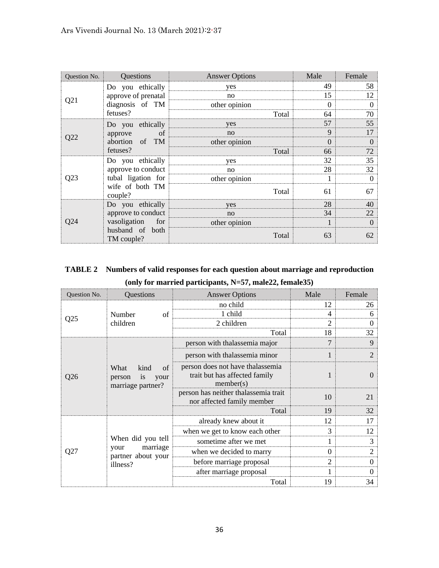| Question No. | Questions                     | <b>Answer Options</b> | Male     | Female   |
|--------------|-------------------------------|-----------------------|----------|----------|
|              | Do you ethically              | yes                   | 49       | 58       |
|              | approve of prenatal           | no                    | 15       | 12       |
| Q21          | diagnosis of TM               | other opinion         | $\Omega$ | $\Omega$ |
|              | fetuses?                      | Total                 | 64       | 70       |
|              | Do you ethically              | yes                   | 57       | 55       |
| Q22          | of<br>approve                 | no                    | 9        | 17       |
|              | abortion of<br><b>TM</b>      | other opinion         | 0        | $\Omega$ |
|              | fetuses?                      | Total                 | 66       | 72       |
|              | Do you ethically              | yes                   | 32       | 35       |
| Q23          | approve to conduct            | no                    | 28       | 32       |
|              | tubal ligation for            | other opinion         |          | 0        |
|              | wife of both TM<br>couple?    | Total                 | 61       | 67       |
| Q24          | Do you ethically              | yes                   | 28       | 40       |
|              | approve to conduct            | no                    | 34       | 22       |
|              | vasoligation<br>for           | other opinion         |          | $\Omega$ |
|              | husband of both<br>TM couple? | Total                 | 63       | 62       |

# **TABLE 2 Numbers of valid responses for each question about marriage and reproduction**

|  |  | (only for married participants, N=57, male22, female35) |
|--|--|---------------------------------------------------------|
|--|--|---------------------------------------------------------|

| Question No.    | Questions                                                               | <b>Answer Options</b>                                                          | Male           | Female         |
|-----------------|-------------------------------------------------------------------------|--------------------------------------------------------------------------------|----------------|----------------|
|                 | Number<br>of<br>children                                                | no child                                                                       | 12             | 26             |
|                 |                                                                         | 1 child                                                                        | 4              | 6              |
| Q <sub>25</sub> |                                                                         | 2 children                                                                     | $\overline{2}$ | 0              |
|                 |                                                                         | Total                                                                          | 18             | 32             |
|                 | What<br>kind<br>of<br>is<br>your<br>person<br>marriage partner?         | person with thalassemia major                                                  | 7              | 9              |
|                 |                                                                         | person with thalassemia minor                                                  |                | $\overline{2}$ |
| Q <sub>26</sub> |                                                                         | person does not have thalassemia<br>trait but has affected family<br>member(s) | 1              | $\Omega$       |
|                 |                                                                         | person has neither thalassemia trait<br>nor affected family member             | 10             | 21             |
|                 |                                                                         | Total                                                                          | 19             | 32             |
|                 | When did you tell<br>marriage<br>your<br>partner about your<br>illness? | already knew about it                                                          | 12             | 17             |
|                 |                                                                         | when we get to know each other                                                 | 3              | 12             |
|                 |                                                                         | sometime after we met                                                          | 1              | 3              |
| Q27             |                                                                         | when we decided to marry                                                       | $\theta$       | $\overline{2}$ |
|                 |                                                                         | before marriage proposal                                                       | 2              | $\Omega$       |
|                 |                                                                         | after marriage proposal                                                        |                | 0              |
|                 |                                                                         | Total                                                                          | 19             | 34             |